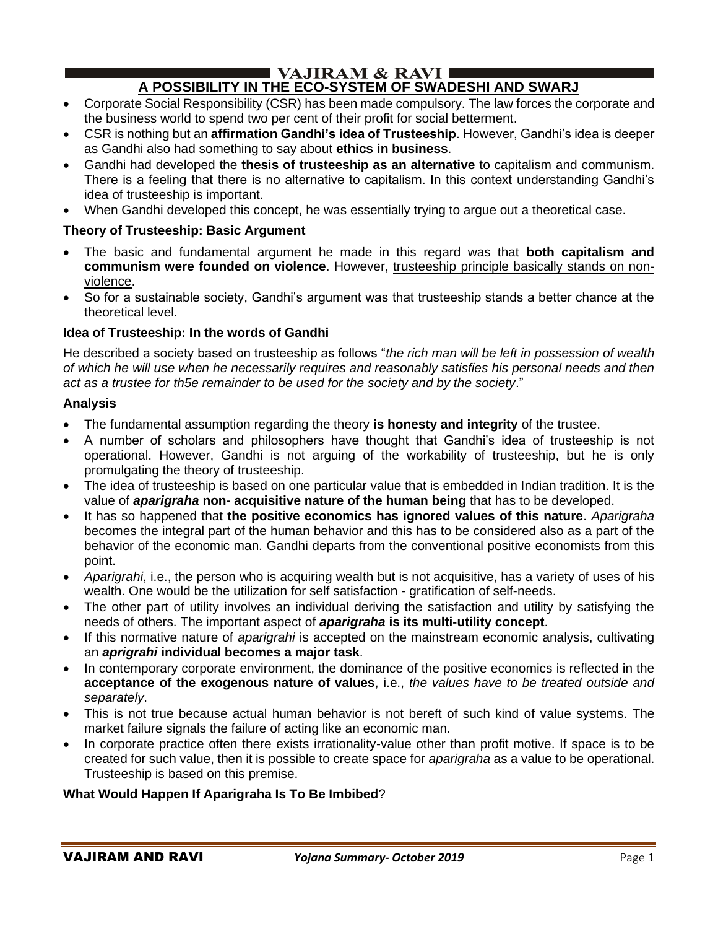#### $\blacksquare$  VAJIRAM & RAVI  $\blacksquare$ **A POSSIBILITY IN THE ECO-SYSTEM OF SWADESHI AND SWARJ**

- Corporate Social Responsibility (CSR) has been made compulsory. The law forces the corporate and the business world to spend two per cent of their profit for social betterment.
- CSR is nothing but an **affirmation Gandhi's idea of Trusteeship**. However, Gandhi's idea is deeper as Gandhi also had something to say about **ethics in business**.
- Gandhi had developed the **thesis of trusteeship as an alternative** to capitalism and communism. There is a feeling that there is no alternative to capitalism. In this context understanding Gandhi's idea of trusteeship is important.
- When Gandhi developed this concept, he was essentially trying to argue out a theoretical case.

## **Theory of Trusteeship: Basic Argument**

- The basic and fundamental argument he made in this regard was that **both capitalism and communism were founded on violence**. However, trusteeship principle basically stands on nonviolence.
- So for a sustainable society, Gandhi's argument was that trusteeship stands a better chance at the theoretical level.

## **Idea of Trusteeship: In the words of Gandhi**

He described a society based on trusteeship as follows "*the rich man will be left in possession of wealth of which he will use when he necessarily requires and reasonably satisfies his personal needs and then act as a trustee for th5e remainder to be used for the society and by the society*."

### **Analysis**

- The fundamental assumption regarding the theory **is honesty and integrity** of the trustee.
- A number of scholars and philosophers have thought that Gandhi's idea of trusteeship is not operational. However, Gandhi is not arguing of the workability of trusteeship, but he is only promulgating the theory of trusteeship.
- The idea of trusteeship is based on one particular value that is embedded in Indian tradition. It is the value of *aparigraha* **non- acquisitive nature of the human being** that has to be developed.
- It has so happened that **the positive economics has ignored values of this nature**. *Aparigraha*  becomes the integral part of the human behavior and this has to be considered also as a part of the behavior of the economic man. Gandhi departs from the conventional positive economists from this point.
- *Aparigrahi*, i.e., the person who is acquiring wealth but is not acquisitive, has a variety of uses of his wealth. One would be the utilization for self satisfaction - gratification of self-needs.
- The other part of utility involves an individual deriving the satisfaction and utility by satisfying the needs of others. The important aspect of *aparigraha* **is its multi-utility concept**.
- If this normative nature of *aparigrahi* is accepted on the mainstream economic analysis, cultivating an *aprigrahi* **individual becomes a major task**.
- In contemporary corporate environment, the dominance of the positive economics is reflected in the **acceptance of the exogenous nature of values**, i.e., *the values have to be treated outside and separately*.
- This is not true because actual human behavior is not bereft of such kind of value systems. The market failure signals the failure of acting like an economic man.
- In corporate practice often there exists irrationality-value other than profit motive. If space is to be created for such value, then it is possible to create space for *aparigraha* as a value to be operational. Trusteeship is based on this premise.

## **What Would Happen If Aparigraha Is To Be Imbibed**?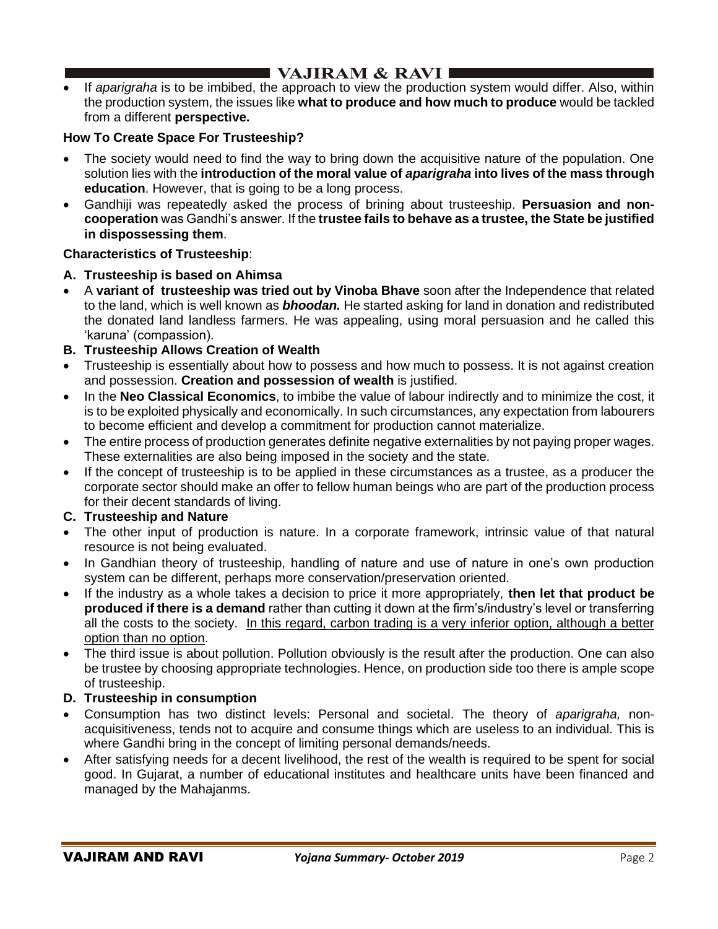## **I VAJIRAM & RAVI**  $\blacksquare$

• If *aparigraha* is to be imbibed, the approach to view the production system would differ. Also, within the production system, the issues like **what to produce and how much to produce** would be tackled from a different **perspective.** 

## **How To Create Space For Trusteeship?**

- The society would need to find the way to bring down the acquisitive nature of the population. One solution lies with the **introduction of the moral value of** *aparigraha* **into lives of the mass through education**. However, that is going to be a long process.
- Gandhiji was repeatedly asked the process of brining about trusteeship. **Persuasion and noncooperation** was Gandhi's answer. If the **trustee fails to behave as a trustee, the State be justified in dispossessing them**.

## **Characteristics of Trusteeship**:

## **A. Trusteeship is based on Ahimsa**

- A **variant of trusteeship was tried out by Vinoba Bhave** soon after the Independence that related to the land, which is well known as *bhoodan.* He started asking for land in donation and redistributed the donated land landless farmers. He was appealing, using moral persuasion and he called this 'karuna' (compassion).
- **B. Trusteeship Allows Creation of Wealth**
- Trusteeship is essentially about how to possess and how much to possess. It is not against creation and possession. **Creation and possession of wealth** is justified.
- In the **Neo Classical Economics**, to imbibe the value of labour indirectly and to minimize the cost, it is to be exploited physically and economically. In such circumstances, any expectation from labourers to become efficient and develop a commitment for production cannot materialize.
- The entire process of production generates definite negative externalities by not paying proper wages. These externalities are also being imposed in the society and the state.
- If the concept of trusteeship is to be applied in these circumstances as a trustee, as a producer the corporate sector should make an offer to fellow human beings who are part of the production process for their decent standards of living.

### **C. Trusteeship and Nature**

- The other input of production is nature. In a corporate framework, intrinsic value of that natural resource is not being evaluated.
- In Gandhian theory of trusteeship, handling of nature and use of nature in one's own production system can be different, perhaps more conservation/preservation oriented.
- If the industry as a whole takes a decision to price it more appropriately, **then let that product be produced if there is a demand** rather than cutting it down at the firm's/industry's level or transferring all the costs to the society. In this regard, carbon trading is a very inferior option, although a better option than no option.
- The third issue is about pollution. Pollution obviously is the result after the production. One can also be trustee by choosing appropriate technologies. Hence, on production side too there is ample scope of trusteeship.

### **D. Trusteeship in consumption**

- Consumption has two distinct levels: Personal and societal. The theory of *aparigraha,* nonacquisitiveness, tends not to acquire and consume things which are useless to an individual. This is where Gandhi bring in the concept of limiting personal demands/needs.
- After satisfying needs for a decent livelihood, the rest of the wealth is required to be spent for social good. In Gujarat, a number of educational institutes and healthcare units have been financed and managed by the Mahajanms.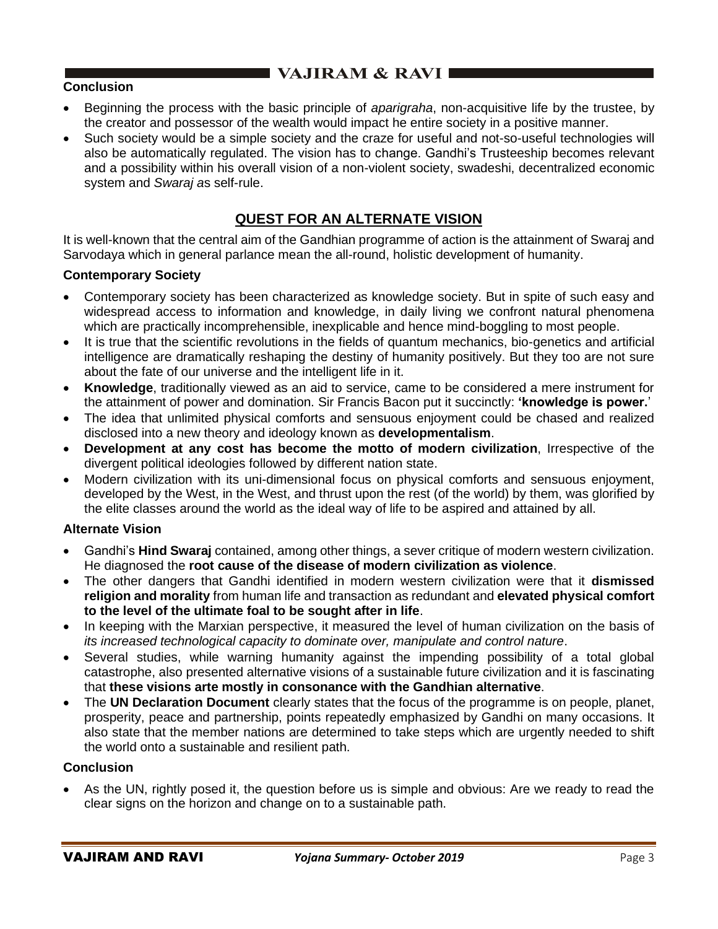# $\blacksquare$  VAJIRAM & RAVI

### **Conclusion**

- Beginning the process with the basic principle of *aparigraha*, non-acquisitive life by the trustee, by the creator and possessor of the wealth would impact he entire society in a positive manner.
- Such society would be a simple society and the craze for useful and not-so-useful technologies will also be automatically regulated. The vision has to change. Gandhi's Trusteeship becomes relevant and a possibility within his overall vision of a non-violent society, swadeshi, decentralized economic system and *Swaraj a*s self-rule.

## **QUEST FOR AN ALTERNATE VISION**

It is well-known that the central aim of the Gandhian programme of action is the attainment of Swaraj and Sarvodaya which in general parlance mean the all-round, holistic development of humanity.

### **Contemporary Society**

- Contemporary society has been characterized as knowledge society. But in spite of such easy and widespread access to information and knowledge, in daily living we confront natural phenomena which are practically incomprehensible, inexplicable and hence mind-boggling to most people.
- It is true that the scientific revolutions in the fields of quantum mechanics, bio-genetics and artificial intelligence are dramatically reshaping the destiny of humanity positively. But they too are not sure about the fate of our universe and the intelligent life in it.
- **Knowledge**, traditionally viewed as an aid to service, came to be considered a mere instrument for the attainment of power and domination. Sir Francis Bacon put it succinctly: **'knowledge is power.**'
- The idea that unlimited physical comforts and sensuous enjoyment could be chased and realized disclosed into a new theory and ideology known as **developmentalism**.
- **Development at any cost has become the motto of modern civilization**, Irrespective of the divergent political ideologies followed by different nation state.
- Modern civilization with its uni-dimensional focus on physical comforts and sensuous enjoyment, developed by the West, in the West, and thrust upon the rest (of the world) by them, was glorified by the elite classes around the world as the ideal way of life to be aspired and attained by all.

### **Alternate Vision**

- Gandhi's **Hind Swaraj** contained, among other things, a sever critique of modern western civilization. He diagnosed the **root cause of the disease of modern civilization as violence**.
- The other dangers that Gandhi identified in modern western civilization were that it **dismissed religion and morality** from human life and transaction as redundant and **elevated physical comfort to the level of the ultimate foal to be sought after in life**.
- In keeping with the Marxian perspective, it measured the level of human civilization on the basis of *its increased technological capacity to dominate over, manipulate and control nature*.
- Several studies, while warning humanity against the impending possibility of a total global catastrophe, also presented alternative visions of a sustainable future civilization and it is fascinating that **these visions arte mostly in consonance with the Gandhian alternative**.
- The **UN Declaration Document** clearly states that the focus of the programme is on people, planet, prosperity, peace and partnership, points repeatedly emphasized by Gandhi on many occasions. It also state that the member nations are determined to take steps which are urgently needed to shift the world onto a sustainable and resilient path.

### **Conclusion**

• As the UN, rightly posed it, the question before us is simple and obvious: Are we ready to read the clear signs on the horizon and change on to a sustainable path.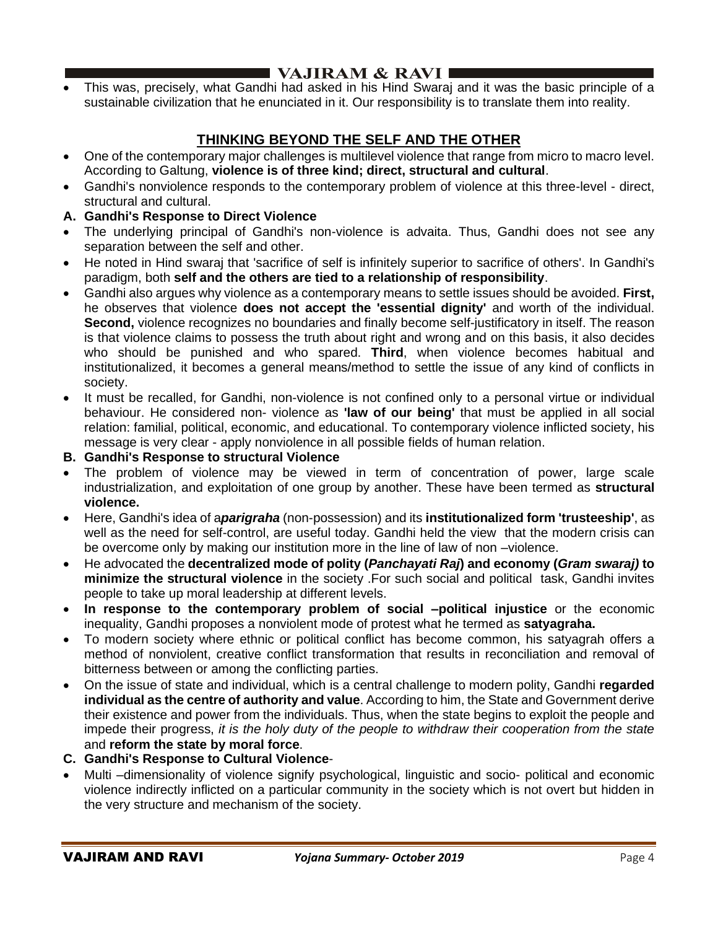# I VAJIRAM  $\&$  RAVI $\blacksquare$

• This was, precisely, what Gandhi had asked in his Hind Swaraj and it was the basic principle of a sustainable civilization that he enunciated in it. Our responsibility is to translate them into reality.

# **THINKING BEYOND THE SELF AND THE OTHER**

- One of the contemporary major challenges is multilevel violence that range from micro to macro level. According to Galtung, **violence is of three kind; direct, structural and cultural**.
- Gandhi's nonviolence responds to the contemporary problem of violence at this three-level direct, structural and cultural.
- **A. Gandhi's Response to Direct Violence**
- The underlying principal of Gandhi's non-violence is advaita. Thus, Gandhi does not see any separation between the self and other.
- He noted in Hind swaraj that 'sacrifice of self is infinitely superior to sacrifice of others'. In Gandhi's paradigm, both **self and the others are tied to a relationship of responsibility**.
- Gandhi also argues why violence as a contemporary means to settle issues should be avoided. **First,** he observes that violence **does not accept the 'essential dignity'** and worth of the individual. **Second,** violence recognizes no boundaries and finally become self-justificatory in itself. The reason is that violence claims to possess the truth about right and wrong and on this basis, it also decides who should be punished and who spared. **Third**, when violence becomes habitual and institutionalized, it becomes a general means/method to settle the issue of any kind of conflicts in society.
- It must be recalled, for Gandhi, non-violence is not confined only to a personal virtue or individual behaviour. He considered non- violence as **'law of our being'** that must be applied in all social relation: familial, political, economic, and educational. To contemporary violence inflicted society, his message is very clear - apply nonviolence in all possible fields of human relation.
- **B. Gandhi's Response to structural Violence**
- The problem of violence may be viewed in term of concentration of power, large scale industrialization, and exploitation of one group by another. These have been termed as **structural violence.**
- Here, Gandhi's idea of a*parigraha* (non-possession) and its **institutionalized form 'trusteeship'**, as well as the need for self-control, are useful today. Gandhi held the view that the modern crisis can be overcome only by making our institution more in the line of law of non –violence.
- He advocated the **decentralized mode of polity (***Panchayati Raj***) and economy (***Gram swaraj)* **to minimize the structural violence** in the society .For such social and political task, Gandhi invites people to take up moral leadership at different levels.
- **In response to the contemporary problem of social –political injustice** or the economic inequality, Gandhi proposes a nonviolent mode of protest what he termed as **satyagraha.**
- To modern society where ethnic or political conflict has become common, his satyagrah offers a method of nonviolent, creative conflict transformation that results in reconciliation and removal of bitterness between or among the conflicting parties.
- On the issue of state and individual, which is a central challenge to modern polity, Gandhi **regarded individual as the centre of authority and value**. According to him, the State and Government derive their existence and power from the individuals. Thus, when the state begins to exploit the people and impede their progress, *it is the holy duty of the people to withdraw their cooperation from the state* and **reform the state by moral force**.
- **C. Gandhi's Response to Cultural Violence**-
- Multi –dimensionality of violence signify psychological, linguistic and socio- political and economic violence indirectly inflicted on a particular community in the society which is not overt but hidden in the very structure and mechanism of the society.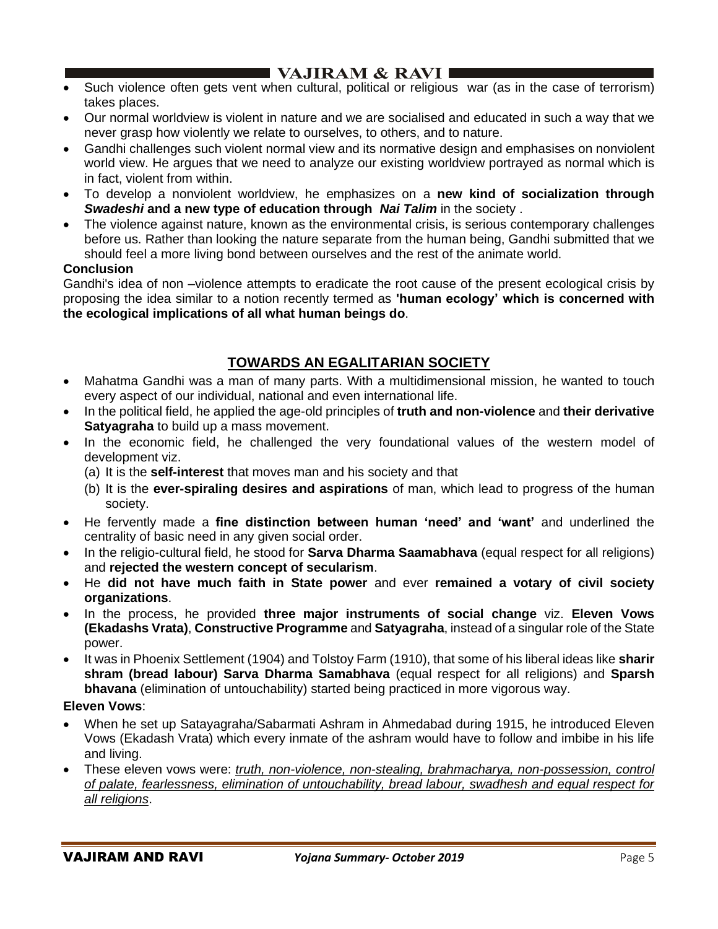## $\blacksquare$  VAJIRAM & RAVI $\blacksquare$

- Such violence often gets vent when cultural, political or religious war (as in the case of terrorism) takes places.
- Our normal worldview is violent in nature and we are socialised and educated in such a way that we never grasp how violently we relate to ourselves, to others, and to nature.
- Gandhi challenges such violent normal view and its normative design and emphasises on nonviolent world view. He argues that we need to analyze our existing worldview portrayed as normal which is in fact, violent from within.
- To develop a nonviolent worldview, he emphasizes on a **new kind of socialization through**  *Swadeshi* **and a new type of education through** *Nai Talim* in the society .
- The violence against nature, known as the environmental crisis, is serious contemporary challenges before us. Rather than looking the nature separate from the human being, Gandhi submitted that we should feel a more living bond between ourselves and the rest of the animate world.

### **Conclusion**

Gandhi's idea of non –violence attempts to eradicate the root cause of the present ecological crisis by proposing the idea similar to a notion recently termed as **'human ecology' which is concerned with the ecological implications of all what human beings do**.

## **TOWARDS AN EGALITARIAN SOCIETY**

- Mahatma Gandhi was a man of many parts. With a multidimensional mission, he wanted to touch every aspect of our individual, national and even international life.
- In the political field, he applied the age-old principles of **truth and non-violence** and **their derivative Satyagraha** to build up a mass movement.
- In the economic field, he challenged the very foundational values of the western model of development viz.
	- (a) It is the **self-interest** that moves man and his society and that
	- (b) It is the **ever-spiraling desires and aspirations** of man, which lead to progress of the human society.
- He fervently made a **fine distinction between human 'need' and 'want'** and underlined the centrality of basic need in any given social order.
- In the religio-cultural field, he stood for **Sarva Dharma Saamabhava** (equal respect for all religions) and **rejected the western concept of secularism**.
- He **did not have much faith in State power** and ever **remained a votary of civil society organizations**.
- In the process, he provided **three major instruments of social change** viz. **Eleven Vows (Ekadashs Vrata)**, **Constructive Programme** and **Satyagraha**, instead of a singular role of the State power.
- It was in Phoenix Settlement (1904) and Tolstoy Farm (1910), that some of his liberal ideas like **sharir shram (bread labour) Sarva Dharma Samabhava** (equal respect for all religions) and **Sparsh bhavana** (elimination of untouchability) started being practiced in more vigorous way.

#### **Eleven Vows**:

- When he set up Satayagraha/Sabarmati Ashram in Ahmedabad during 1915, he introduced Eleven Vows (Ekadash Vrata) which every inmate of the ashram would have to follow and imbibe in his life and living.
- These eleven vows were: *truth, non-violence, non-stealing, brahmacharya, non-possession, control of palate, fearlessness, elimination of untouchability, bread labour, swadhesh and equal respect for all religions*.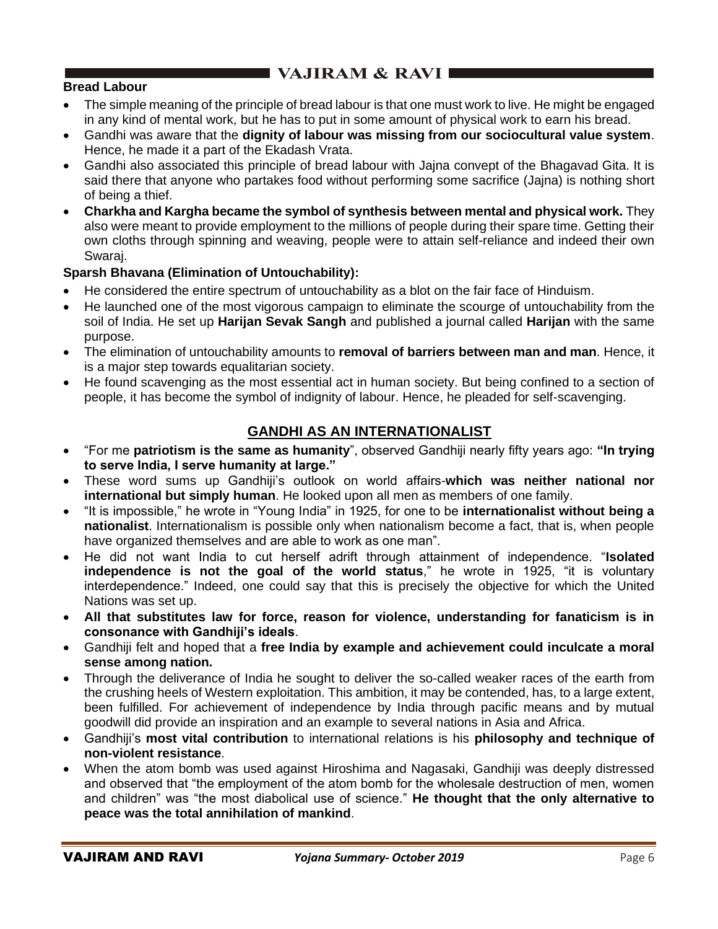# $\blacksquare$  VAJIRAM & RAVI $\blacksquare$

## **Bread Labour**

- The simple meaning of the principle of bread labour is that one must work to live. He might be engaged in any kind of mental work, but he has to put in some amount of physical work to earn his bread.
- Gandhi was aware that the **dignity of labour was missing from our sociocultural value system**. Hence, he made it a part of the Ekadash Vrata.
- Gandhi also associated this principle of bread labour with Jajna convept of the Bhagavad Gita. It is said there that anyone who partakes food without performing some sacrifice (Jajna) is nothing short of being a thief.
- **Charkha and Kargha became the symbol of synthesis between mental and physical work.** They also were meant to provide employment to the millions of people during their spare time. Getting their own cloths through spinning and weaving, people were to attain self-reliance and indeed their own Swaraj.

### **Sparsh Bhavana (Elimination of Untouchability):**

- He considered the entire spectrum of untouchability as a blot on the fair face of Hinduism.
- He launched one of the most vigorous campaign to eliminate the scourge of untouchability from the soil of India. He set up **Harijan Sevak Sangh** and published a journal called **Harijan** with the same purpose.
- The elimination of untouchability amounts to **removal of barriers between man and man**. Hence, it is a major step towards equalitarian society.
- He found scavenging as the most essential act in human society. But being confined to a section of people, it has become the symbol of indignity of labour. Hence, he pleaded for self-scavenging.

## **GANDHI AS AN INTERNATIONALIST**

- "For me **patriotism is the same as humanity**", observed Gandhiji nearly fifty years ago: **"In trying to serve India, I serve humanity at large."**
- These word sums up Gandhiji's outlook on world affairs-**which was neither national nor international but simply human**. He looked upon all men as members of one family.
- "It is impossible," he wrote in "Young India" in 1925, for one to be **internationalist without being a nationalist**. Internationalism is possible only when nationalism become a fact, that is, when people have organized themselves and are able to work as one man".
- He did not want India to cut herself adrift through attainment of independence. "**Isolated independence is not the goal of the world status**," he wrote in 1925, "it is voluntary interdependence." Indeed, one could say that this is precisely the objective for which the United Nations was set up.
- **All that substitutes law for force, reason for violence, understanding for fanaticism is in consonance with Gandhiji's ideals**.
- Gandhiji felt and hoped that a **free India by example and achievement could inculcate a moral sense among nation.**
- Through the deliverance of India he sought to deliver the so-called weaker races of the earth from the crushing heels of Western exploitation. This ambition, it may be contended, has, to a large extent, been fulfilled. For achievement of independence by India through pacific means and by mutual goodwill did provide an inspiration and an example to several nations in Asia and Africa.
- Gandhiji's **most vital contribution** to international relations is his **philosophy and technique of non-violent resistance**.
- When the atom bomb was used against Hiroshima and Nagasaki, Gandhiji was deeply distressed and observed that "the employment of the atom bomb for the wholesale destruction of men, women and children" was "the most diabolical use of science." **He thought that the only alternative to peace was the total annihilation of mankind**.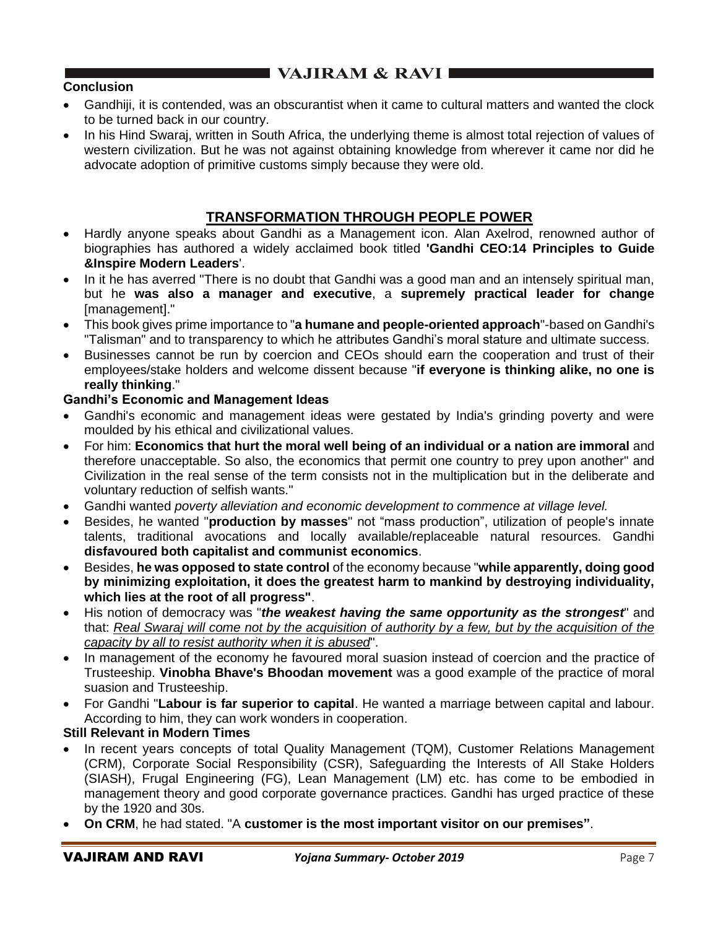# **EXAMPLE VAJIRAM & RAVI EXAMPLE**

## **Conclusion**

- Gandhiji, it is contended, was an obscurantist when it came to cultural matters and wanted the clock to be turned back in our country.
- In his Hind Swaraj, written in South Africa, the underlying theme is almost total rejection of values of western civilization. But he was not against obtaining knowledge from wherever it came nor did he advocate adoption of primitive customs simply because they were old.

## **TRANSFORMATION THROUGH PEOPLE POWER**

- Hardly anyone speaks about Gandhi as a Management icon. Alan Axelrod, renowned author of biographies has authored a widely acclaimed book titled **'Gandhi CEO:14 Principles to Guide &Inspire Modern Leaders**'.
- In it he has averred "There is no doubt that Gandhi was a good man and an intensely spiritual man, but he **was also a manager and executive**, a **supremely practical leader for change** [management]."
- This book gives prime importance to "**a humane and people-oriented approach**"-based on Gandhi's "Talisman" and to transparency to which he attributes Gandhi's moral stature and ultimate success.
- Businesses cannot be run by coercion and CEOs should earn the cooperation and trust of their employees/stake holders and welcome dissent because "**if everyone is thinking alike, no one is really thinking**."

## **Gandhi's Economic and Management Ideas**

- Gandhi's economic and management ideas were gestated by India's grinding poverty and were moulded by his ethical and civilizational values.
- For him: **Economics that hurt the moral well being of an individual or a nation are immoral** and therefore unacceptable. So also, the economics that permit one country to prey upon another" and Civilization in the real sense of the term consists not in the multiplication but in the deliberate and voluntary reduction of selfish wants."
- Gandhi wanted *poverty alleviation and economic development to commence at village level.*
- Besides, he wanted "**production by masses**" not "mass production", utilization of people's innate talents, traditional avocations and locally available/replaceable natural resources. Gandhi **disfavoured both capitalist and communist economics**.
- Besides, **he was opposed to state control** of the economy because "**while apparently, doing good by minimizing exploitation, it does the greatest harm to mankind by destroying individuality, which lies at the root of all progress"**.
- His notion of democracy was "*the weakest having the same opportunity as the strongest*" and that: *Real Swaraj will come not by the acquisition of authority by a few, but by the acquisition of the capacity by all to resist authority when it is abused*".
- In management of the economy he favoured moral suasion instead of coercion and the practice of Trusteeship. **Vinobha Bhave's Bhoodan movement** was a good example of the practice of moral suasion and Trusteeship.
- For Gandhi "**Labour is far superior to capital**. He wanted a marriage between capital and labour. According to him, they can work wonders in cooperation.

### **Still Relevant in Modern Times**

- In recent years concepts of total Quality Management (TQM), Customer Relations Management (CRM), Corporate Social Responsibility (CSR), Safeguarding the Interests of All Stake Holders (SIASH), Frugal Engineering (FG), Lean Management (LM) etc. has come to be embodied in management theory and good corporate governance practices. Gandhi has urged practice of these by the 1920 and 30s.
- **On CRM**, he had stated. "A **customer is the most important visitor on our premises"**.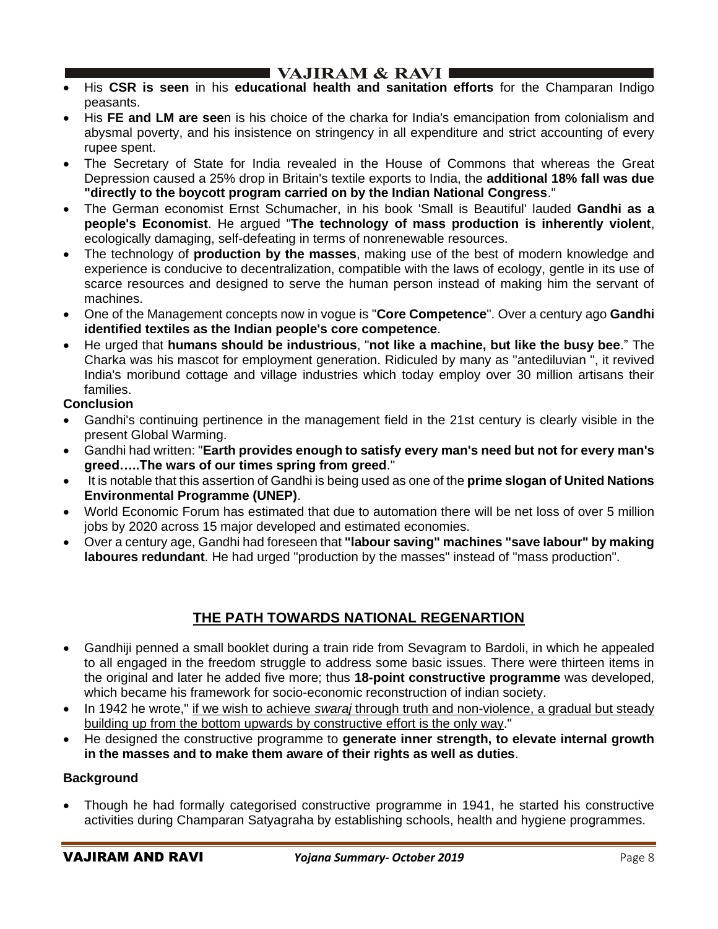## I VAJIRAM  $\&$  RAVI  $\blacksquare$

- His **CSR is seen** in his **educational health and sanitation efforts** for the Champaran Indigo peasants.
- His **FE and LM are see**n is his choice of the charka for India's emancipation from colonialism and abysmal poverty, and his insistence on stringency in all expenditure and strict accounting of every rupee spent.
- The Secretary of State for India revealed in the House of Commons that whereas the Great Depression caused a 25% drop in Britain's textile exports to India, the **additional 18% fall was due "directly to the boycott program carried on by the Indian National Congress**."
- The German economist Ernst Schumacher, in his book 'Small is Beautiful' lauded **Gandhi as a people's Economist**. He argued "**The technology of mass production is inherently violent**, ecologically damaging, self-defeating in terms of nonrenewable resources.
- The technology of **production by the masses**, making use of the best of modern knowledge and experience is conducive to decentralization, compatible with the laws of ecology, gentle in its use of scarce resources and designed to serve the human person instead of making him the servant of machines.
- One of the Management concepts now in vogue is "**Core Competence**". Over a century ago **Gandhi identified textiles as the Indian people's core competence**.
- He urged that **humans should be industrious**, "**not like a machine, but like the busy bee**." The Charka was his mascot for employment generation. Ridiculed by many as "antediluvian ", it revived India's moribund cottage and village industries which today employ over 30 million artisans their families.

## **Conclusion**

- Gandhi's continuing pertinence in the management field in the 21st century is clearly visible in the present Global Warming.
- Gandhi had written: "**Earth provides enough to satisfy every man's need but not for every man's greed…..The wars of our times spring from greed**."
- It is notable that this assertion of Gandhi is being used as one of the **prime slogan of United Nations Environmental Programme (UNEP)**.
- World Economic Forum has estimated that due to automation there will be net loss of over 5 million jobs by 2020 across 15 major developed and estimated economies.
- Over a century age, Gandhi had foreseen that **"labour saving" machines "save labour" by making laboures redundant**. He had urged "production by the masses" instead of "mass production".

## **THE PATH TOWARDS NATIONAL REGENARTION**

- Gandhiji penned a small booklet during a train ride from Sevagram to Bardoli, in which he appealed to all engaged in the freedom struggle to address some basic issues. There were thirteen items in the original and later he added five more; thus **18-point constructive programme** was developed, which became his framework for socio-economic reconstruction of indian society.
- In 1942 he wrote," if we wish to achieve *swaraj* through truth and non-violence, a gradual but steady building up from the bottom upwards by constructive effort is the only way."
- He designed the constructive programme to **generate inner strength, to elevate internal growth in the masses and to make them aware of their rights as well as duties**.

### **Background**

• Though he had formally categorised constructive programme in 1941, he started his constructive activities during Champaran Satyagraha by establishing schools, health and hygiene programmes.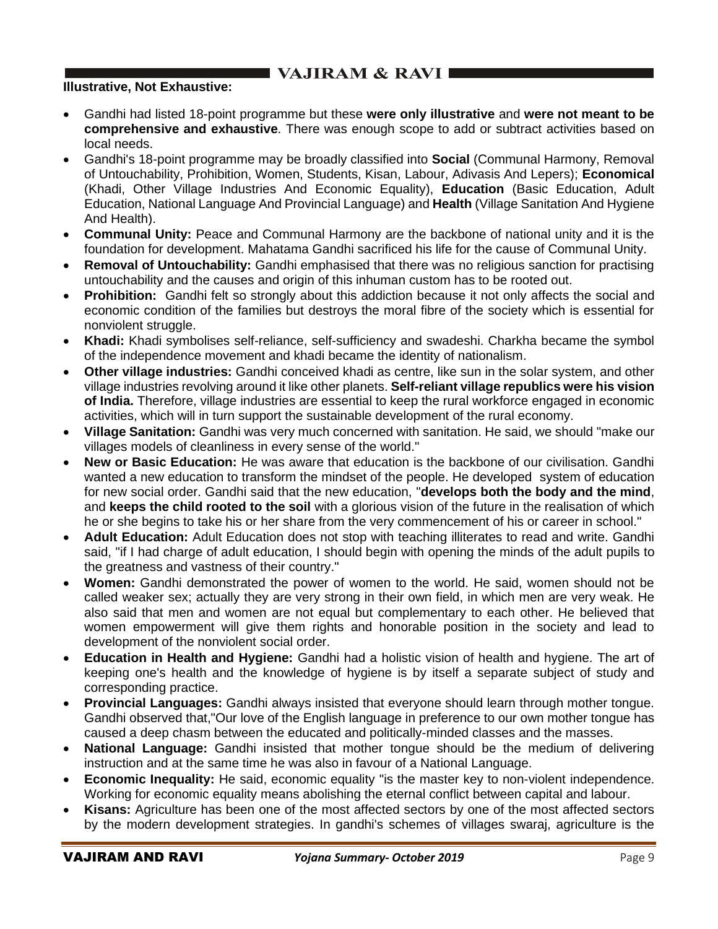# $\blacksquare$  VAJIRAM & RAVI $\blacksquare$

#### **Illustrative, Not Exhaustive:**

- Gandhi had listed 18-point programme but these **were only illustrative** and **were not meant to be comprehensive and exhaustive**. There was enough scope to add or subtract activities based on local needs.
- Gandhi's 18-point programme may be broadly classified into **Social** (Communal Harmony, Removal of Untouchability, Prohibition, Women, Students, Kisan, Labour, Adivasis And Lepers); **Economical** (Khadi, Other Village Industries And Economic Equality), **Education** (Basic Education, Adult Education, National Language And Provincial Language) and **Health** (Village Sanitation And Hygiene And Health).
- **Communal Unity:** Peace and Communal Harmony are the backbone of national unity and it is the foundation for development. Mahatama Gandhi sacrificed his life for the cause of Communal Unity.
- **Removal of Untouchability:** Gandhi emphasised that there was no religious sanction for practising untouchability and the causes and origin of this inhuman custom has to be rooted out.
- **Prohibition:** Gandhi felt so strongly about this addiction because it not only affects the social and economic condition of the families but destroys the moral fibre of the society which is essential for nonviolent struggle.
- **Khadi:** Khadi symbolises self-reliance, self-sufficiency and swadeshi. Charkha became the symbol of the independence movement and khadi became the identity of nationalism.
- **Other village industries:** Gandhi conceived khadi as centre, like sun in the solar system, and other village industries revolving around it like other planets. **Self-reliant village republics were his vision of India.** Therefore, village industries are essential to keep the rural workforce engaged in economic activities, which will in turn support the sustainable development of the rural economy.
- **Village Sanitation:** Gandhi was very much concerned with sanitation. He said, we should "make our villages models of cleanliness in every sense of the world."
- **New or Basic Education:** He was aware that education is the backbone of our civilisation. Gandhi wanted a new education to transform the mindset of the people. He developed system of education for new social order. Gandhi said that the new education, "**develops both the body and the mind**, and **keeps the child rooted to the soil** with a glorious vision of the future in the realisation of which he or she begins to take his or her share from the very commencement of his or career in school."
- **Adult Education:** Adult Education does not stop with teaching illiterates to read and write. Gandhi said, "if I had charge of adult education, I should begin with opening the minds of the adult pupils to the greatness and vastness of their country."
- **Women:** Gandhi demonstrated the power of women to the world. He said, women should not be called weaker sex; actually they are very strong in their own field, in which men are very weak. He also said that men and women are not equal but complementary to each other. He believed that women empowerment will give them rights and honorable position in the society and lead to development of the nonviolent social order.
- **Education in Health and Hygiene:** Gandhi had a holistic vision of health and hygiene. The art of keeping one's health and the knowledge of hygiene is by itself a separate subject of study and corresponding practice.
- **Provincial Languages:** Gandhi always insisted that everyone should learn through mother tongue. Gandhi observed that,"Our love of the English language in preference to our own mother tongue has caused a deep chasm between the educated and politically-minded classes and the masses.
- **National Language:** Gandhi insisted that mother tongue should be the medium of delivering instruction and at the same time he was also in favour of a National Language.
- **Economic Inequality:** He said, economic equality "is the master key to non-violent independence. Working for economic equality means abolishing the eternal conflict between capital and labour.
- **Kisans:** Agriculture has been one of the most affected sectors by one of the most affected sectors by the modern development strategies. In gandhi's schemes of villages swaraj, agriculture is the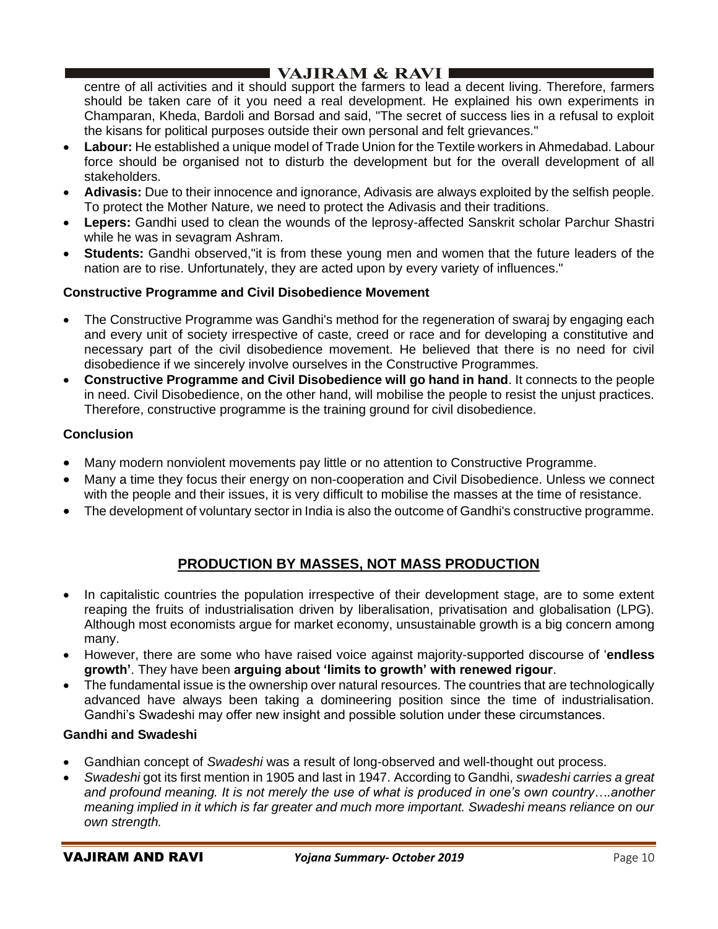# I VAJIRAM  $\&$  RAVI $\blacksquare$

centre of all activities and it should support the farmers to lead a decent living. Therefore, farmers should be taken care of it you need a real development. He explained his own experiments in Champaran, Kheda, Bardoli and Borsad and said, "The secret of success lies in a refusal to exploit the kisans for political purposes outside their own personal and felt grievances."

- **Labour:** He established a unique model of Trade Union for the Textile workers in Ahmedabad. Labour force should be organised not to disturb the development but for the overall development of all stakeholders.
- **Adivasis:** Due to their innocence and ignorance, Adivasis are always exploited by the selfish people. To protect the Mother Nature, we need to protect the Adivasis and their traditions.
- **Lepers:** Gandhi used to clean the wounds of the leprosy-affected Sanskrit scholar Parchur Shastri while he was in sevagram Ashram.
- **Students:** Gandhi observed,"it is from these young men and women that the future leaders of the nation are to rise. Unfortunately, they are acted upon by every variety of influences."

## **Constructive Programme and Civil Disobedience Movement**

- The Constructive Programme was Gandhi's method for the regeneration of swaraj by engaging each and every unit of society irrespective of caste, creed or race and for developing a constitutive and necessary part of the civil disobedience movement. He believed that there is no need for civil disobedience if we sincerely involve ourselves in the Constructive Programmes.
- **Constructive Programme and Civil Disobedience will go hand in hand**. It connects to the people in need. Civil Disobedience, on the other hand, will mobilise the people to resist the unjust practices. Therefore, constructive programme is the training ground for civil disobedience.

## **Conclusion**

- Many modern nonviolent movements pay little or no attention to Constructive Programme.
- Many a time they focus their energy on non-cooperation and Civil Disobedience. Unless we connect with the people and their issues, it is very difficult to mobilise the masses at the time of resistance.
- The development of voluntary sector in India is also the outcome of Gandhi's constructive programme.

## **PRODUCTION BY MASSES, NOT MASS PRODUCTION**

- In capitalistic countries the population irrespective of their development stage, are to some extent reaping the fruits of industrialisation driven by liberalisation, privatisation and globalisation (LPG). Although most economists argue for market economy, unsustainable growth is a big concern among many.
- However, there are some who have raised voice against majority-supported discourse of '**endless growth'**. They have been **arguing about 'limits to growth' with renewed rigour**.
- The fundamental issue is the ownership over natural resources. The countries that are technologically advanced have always been taking a domineering position since the time of industrialisation. Gandhi's Swadeshi may offer new insight and possible solution under these circumstances.

### **Gandhi and Swadeshi**

- Gandhian concept of *Swadeshi* was a result of long-observed and well-thought out process.
- *Swadeshi* got its first mention in 1905 and last in 1947. According to Gandhi, *swadeshi carries a great and profound meaning. It is not merely the use of what is produced in one's own country….another meaning implied in it which is far greater and much more important. Swadeshi means reliance on our own strength.*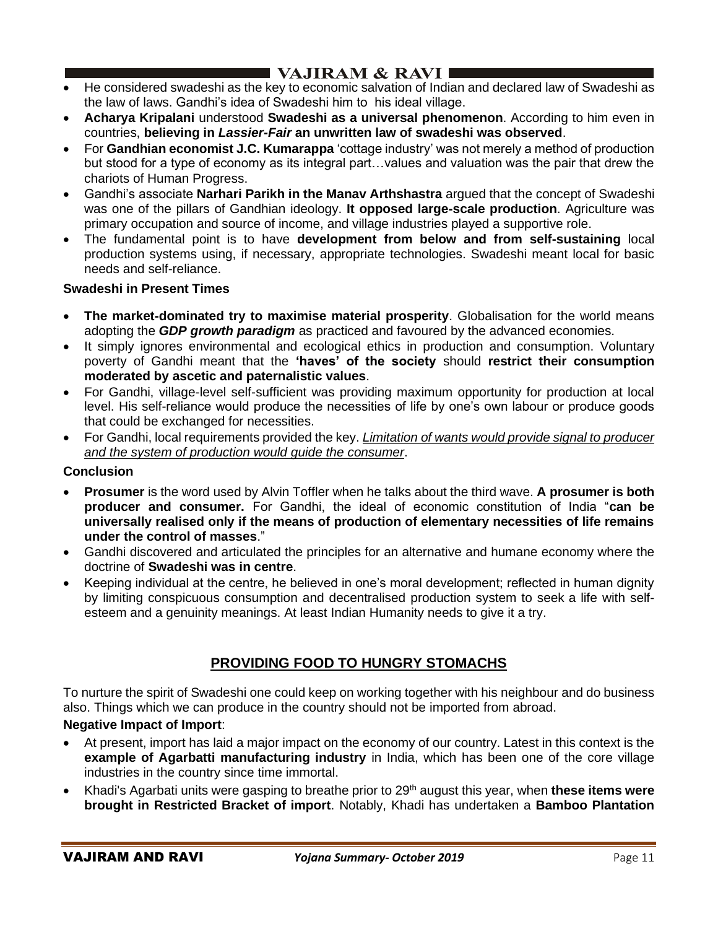# $\blacksquare$  VAJIRAM & RAVI

- He considered swadeshi as the key to economic salvation of Indian and declared law of Swadeshi as the law of laws. Gandhi's idea of Swadeshi him to his ideal village.
- **Acharya Kripalani** understood **Swadeshi as a universal phenomenon**. According to him even in countries, **believing in** *Lassier-Fair* **an unwritten law of swadeshi was observed**.
- For **Gandhian economist J.C. Kumarappa** 'cottage industry' was not merely a method of production but stood for a type of economy as its integral part…values and valuation was the pair that drew the chariots of Human Progress.
- Gandhi's associate **Narhari Parikh in the Manav Arthshastra** argued that the concept of Swadeshi was one of the pillars of Gandhian ideology. **It opposed large-scale production**. Agriculture was primary occupation and source of income, and village industries played a supportive role.
- The fundamental point is to have **development from below and from self-sustaining** local production systems using, if necessary, appropriate technologies. Swadeshi meant local for basic needs and self-reliance.

### **Swadeshi in Present Times**

- **The market-dominated try to maximise material prosperity**. Globalisation for the world means adopting the *GDP growth paradigm* as practiced and favoured by the advanced economies.
- It simply ignores environmental and ecological ethics in production and consumption. Voluntary poverty of Gandhi meant that the **'haves' of the society** should **restrict their consumption moderated by ascetic and paternalistic values**.
- For Gandhi, village-level self-sufficient was providing maximum opportunity for production at local level. His self-reliance would produce the necessities of life by one's own labour or produce goods that could be exchanged for necessities.
- For Gandhi, local requirements provided the key. *Limitation of wants would provide signal to producer and the system of production would guide the consumer*.

### **Conclusion**

- **Prosumer** is the word used by Alvin Toffler when he talks about the third wave. **A prosumer is both producer and consumer.** For Gandhi, the ideal of economic constitution of India "**can be universally realised only if the means of production of elementary necessities of life remains under the control of masses**."
- Gandhi discovered and articulated the principles for an alternative and humane economy where the doctrine of **Swadeshi was in centre**.
- Keeping individual at the centre, he believed in one's moral development; reflected in human dignity by limiting conspicuous consumption and decentralised production system to seek a life with selfesteem and a genuinity meanings. At least Indian Humanity needs to give it a try.

# **PROVIDING FOOD TO HUNGRY STOMACHS**

To nurture the spirit of Swadeshi one could keep on working together with his neighbour and do business also. Things which we can produce in the country should not be imported from abroad.

## **Negative Impact of Import**:

- At present, import has laid a major impact on the economy of our country. Latest in this context is the **example of Agarbatti manufacturing industry** in India, which has been one of the core village industries in the country since time immortal.
- Khadi's Agarbati units were gasping to breathe prior to 29th august this year, when **these items were brought in Restricted Bracket of import**. Notably, Khadi has undertaken a **Bamboo Plantation**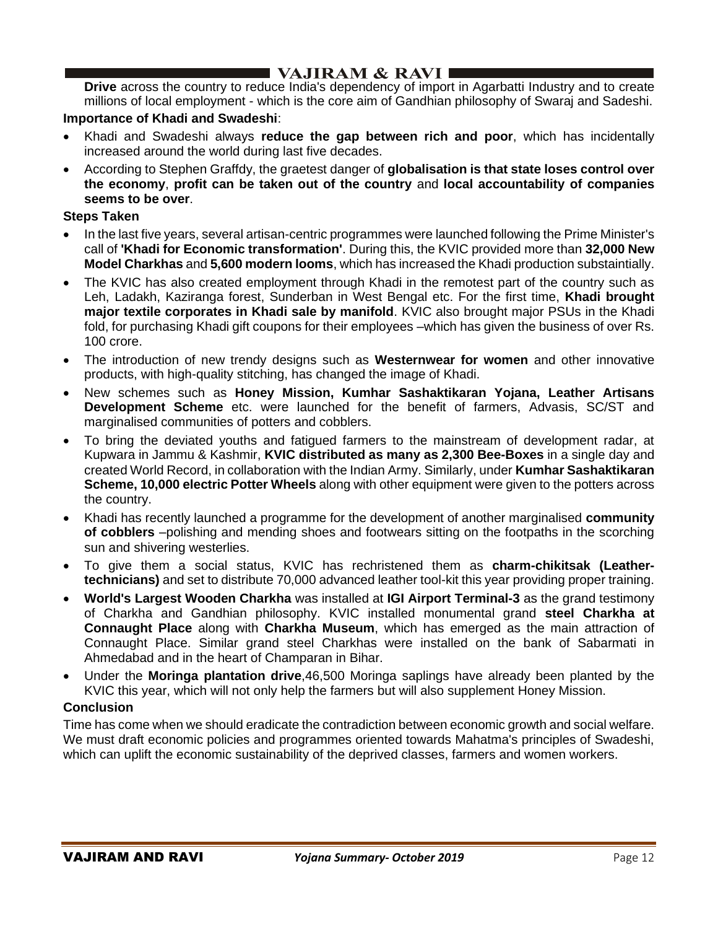## I VAJIRAM & RAVI I

**Drive** across the country to reduce India's dependency of import in Agarbatti Industry and to create millions of local employment - which is the core aim of Gandhian philosophy of Swaraj and Sadeshi.

#### **Importance of Khadi and Swadeshi**:

- Khadi and Swadeshi always **reduce the gap between rich and poor**, which has incidentally increased around the world during last five decades.
- According to Stephen Graffdy, the graetest danger of **globalisation is that state loses control over the economy**, **profit can be taken out of the country** and **local accountability of companies seems to be over**.

#### **Steps Taken**

- In the last five years, several artisan-centric programmes were launched following the Prime Minister's call of **'Khadi for Economic transformation'**. During this, the KVIC provided more than **32,000 New Model Charkhas** and **5,600 modern looms**, which has increased the Khadi production substaintially.
- The KVIC has also created employment through Khadi in the remotest part of the country such as Leh, Ladakh, Kaziranga forest, Sunderban in West Bengal etc. For the first time, **Khadi brought major textile corporates in Khadi sale by manifold**. KVIC also brought major PSUs in the Khadi fold, for purchasing Khadi gift coupons for their employees –which has given the business of over Rs. 100 crore.
- The introduction of new trendy designs such as **Westernwear for women** and other innovative products, with high-quality stitching, has changed the image of Khadi.
- New schemes such as **Honey Mission, Kumhar Sashaktikaran Yojana, Leather Artisans Development Scheme** etc. were launched for the benefit of farmers, Advasis, SC/ST and marginalised communities of potters and cobblers.
- To bring the deviated youths and fatigued farmers to the mainstream of development radar, at Kupwara in Jammu & Kashmir, **KVIC distributed as many as 2,300 Bee-Boxes** in a single day and created World Record, in collaboration with the Indian Army. Similarly, under **Kumhar Sashaktikaran Scheme, 10,000 electric Potter Wheels** along with other equipment were given to the potters across the country.
- Khadi has recently launched a programme for the development of another marginalised **community of cobblers** –polishing and mending shoes and footwears sitting on the footpaths in the scorching sun and shivering westerlies.
- To give them a social status, KVIC has rechristened them as **charm-chikitsak (Leathertechnicians)** and set to distribute 70,000 advanced leather tool-kit this year providing proper training.
- **World's Largest Wooden Charkha** was installed at **IGI Airport Terminal-3** as the grand testimony of Charkha and Gandhian philosophy. KVIC installed monumental grand **steel Charkha at Connaught Place** along with **Charkha Museum**, which has emerged as the main attraction of Connaught Place. Similar grand steel Charkhas were installed on the bank of Sabarmati in Ahmedabad and in the heart of Champaran in Bihar.
- Under the **Moringa plantation drive**,46,500 Moringa saplings have already been planted by the KVIC this year, which will not only help the farmers but will also supplement Honey Mission.

#### **Conclusion**

Time has come when we should eradicate the contradiction between economic growth and social welfare. We must draft economic policies and programmes oriented towards Mahatma's principles of Swadeshi, which can uplift the economic sustainability of the deprived classes, farmers and women workers.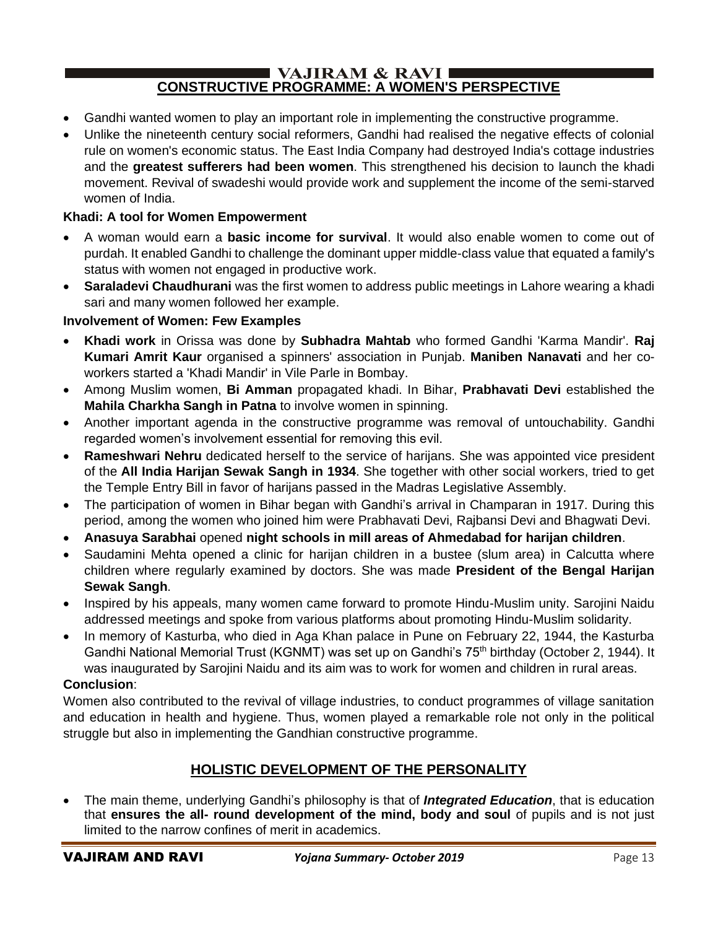#### $\blacksquare$  VAJIRAM & RAVI  $\blacksquare$ **CONSTRUCTIVE PROGRAMME: A WOMEN'S PERSPECTIVE**

- Gandhi wanted women to play an important role in implementing the constructive programme.
- Unlike the nineteenth century social reformers, Gandhi had realised the negative effects of colonial rule on women's economic status. The East India Company had destroyed India's cottage industries and the **greatest sufferers had been women**. This strengthened his decision to launch the khadi movement. Revival of swadeshi would provide work and supplement the income of the semi-starved women of India.

## **Khadi: A tool for Women Empowerment**

- A woman would earn a **basic income for survival**. It would also enable women to come out of purdah. It enabled Gandhi to challenge the dominant upper middle-class value that equated a family's status with women not engaged in productive work.
- **Saraladevi Chaudhurani** was the first women to address public meetings in Lahore wearing a khadi sari and many women followed her example.

### **Involvement of Women: Few Examples**

- **Khadi work** in Orissa was done by **Subhadra Mahtab** who formed Gandhi 'Karma Mandir'. **Raj Kumari Amrit Kaur** organised a spinners' association in Punjab. **Maniben Nanavati** and her coworkers started a 'Khadi Mandir' in Vile Parle in Bombay.
- Among Muslim women, **Bi Amman** propagated khadi. In Bihar, **Prabhavati Devi** established the **Mahila Charkha Sangh in Patna** to involve women in spinning.
- Another important agenda in the constructive programme was removal of untouchability. Gandhi regarded women's involvement essential for removing this evil.
- **Rameshwari Nehru** dedicated herself to the service of harijans. She was appointed vice president of the **All India Harijan Sewak Sangh in 1934**. She together with other social workers, tried to get the Temple Entry Bill in favor of harijans passed in the Madras Legislative Assembly.
- The participation of women in Bihar began with Gandhi's arrival in Champaran in 1917. During this period, among the women who joined him were Prabhavati Devi, Rajbansi Devi and Bhagwati Devi.
- **Anasuya Sarabhai** opened **night schools in mill areas of Ahmedabad for harijan children**.
- Saudamini Mehta opened a clinic for harijan children in a bustee (slum area) in Calcutta where children where regularly examined by doctors. She was made **President of the Bengal Harijan Sewak Sangh**.
- Inspired by his appeals, many women came forward to promote Hindu-Muslim unity. Sarojini Naidu addressed meetings and spoke from various platforms about promoting Hindu-Muslim solidarity.
- In memory of Kasturba, who died in Aga Khan palace in Pune on February 22, 1944, the Kasturba Gandhi National Memorial Trust (KGNMT) was set up on Gandhi's 75<sup>th</sup> birthday (October 2, 1944). It was inaugurated by Sarojini Naidu and its aim was to work for women and children in rural areas.

## **Conclusion**:

Women also contributed to the revival of village industries, to conduct programmes of village sanitation and education in health and hygiene. Thus, women played a remarkable role not only in the political struggle but also in implementing the Gandhian constructive programme.

## **HOLISTIC DEVELOPMENT OF THE PERSONALITY**

• The main theme, underlying Gandhi's philosophy is that of *Integrated Education*, that is education that **ensures the all- round development of the mind, body and soul** of pupils and is not just limited to the narrow confines of merit in academics.